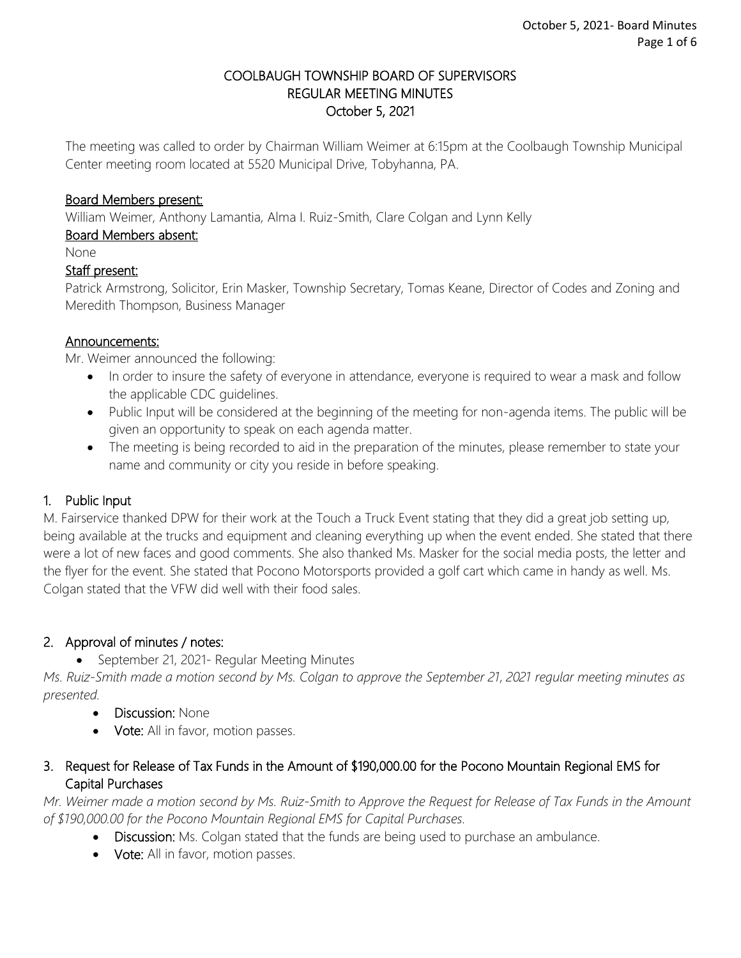#### COOLBAUGH TOWNSHIP BOARD OF SUPERVISORS REGULAR MEETING MINUTES October 5, 2021

The meeting was called to order by Chairman William Weimer at 6:15pm at the Coolbaugh Township Municipal Center meeting room located at 5520 Municipal Drive, Tobyhanna, PA.

#### Board Members present:

William Weimer, Anthony Lamantia, Alma I. Ruiz-Smith, Clare Colgan and Lynn Kelly

## Board Members absent:

None

## Staff present:

Patrick Armstrong, Solicitor, Erin Masker, Township Secretary, Tomas Keane, Director of Codes and Zoning and Meredith Thompson, Business Manager

#### Announcements:

Mr. Weimer announced the following:

- In order to insure the safety of everyone in attendance, everyone is required to wear a mask and follow the applicable CDC guidelines.
- Public Input will be considered at the beginning of the meeting for non-agenda items. The public will be given an opportunity to speak on each agenda matter.
- The meeting is being recorded to aid in the preparation of the minutes, please remember to state your name and community or city you reside in before speaking.

# 1. Public Input

M. Fairservice thanked DPW for their work at the Touch a Truck Event stating that they did a great job setting up, being available at the trucks and equipment and cleaning everything up when the event ended. She stated that there were a lot of new faces and good comments. She also thanked Ms. Masker for the social media posts, the letter and the flyer for the event. She stated that Pocono Motorsports provided a golf cart which came in handy as well. Ms. Colgan stated that the VFW did well with their food sales.

# 2. Approval of minutes / notes:

• September 21, 2021- Regular Meeting Minutes

*Ms. Ruiz-Smith made a motion second by Ms. Colgan to approve the September 21, 2021 regular meeting minutes as presented.* 

- Discussion: None
- Vote: All in favor, motion passes.

# 3. Request for Release of Tax Funds in the Amount of \$190,000.00 for the Pocono Mountain Regional EMS for Capital Purchases

*Mr. Weimer made a motion second by Ms. Ruiz-Smith to Approve the Request for Release of Tax Funds in the Amount of \$190,000.00 for the Pocono Mountain Regional EMS for Capital Purchases.* 

- Discussion: Ms. Colgan stated that the funds are being used to purchase an ambulance.
- Vote: All in favor, motion passes.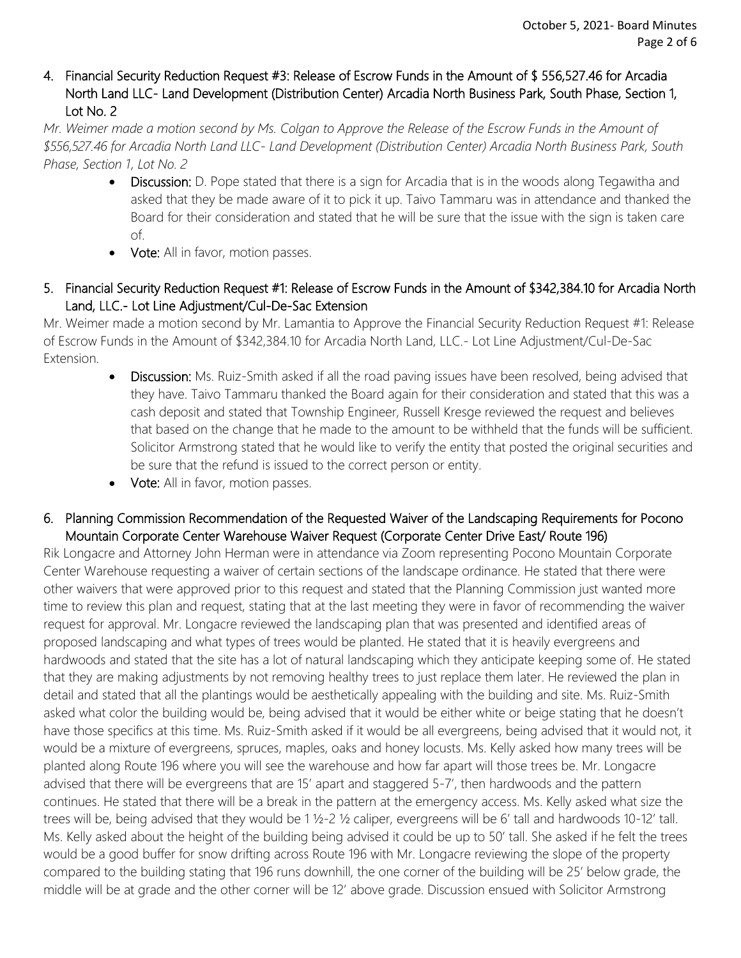## 4. Financial Security Reduction Request #3: Release of Escrow Funds in the Amount of \$ 556,527.46 for Arcadia North Land LLC- Land Development (Distribution Center) Arcadia North Business Park, South Phase, Section 1, Lot No. 2

*Mr. Weimer made a motion second by Ms. Colgan to Approve the Release of the Escrow Funds in the Amount of \$556,527.46 for Arcadia North Land LLC- Land Development (Distribution Center) Arcadia North Business Park, South Phase, Section 1, Lot No. 2*

- Discussion: D. Pope stated that there is a sign for Arcadia that is in the woods along Tegawitha and asked that they be made aware of it to pick it up. Taivo Tammaru was in attendance and thanked the Board for their consideration and stated that he will be sure that the issue with the sign is taken care of.
- Vote: All in favor, motion passes.

# 5. Financial Security Reduction Request #1: Release of Escrow Funds in the Amount of \$342,384.10 for Arcadia North Land, LLC.- Lot Line Adjustment/Cul-De-Sac Extension

Mr. Weimer made a motion second by Mr. Lamantia to Approve the Financial Security Reduction Request #1: Release of Escrow Funds in the Amount of \$342,384.10 for Arcadia North Land, LLC.- Lot Line Adjustment/Cul-De-Sac Extension.

- Discussion: Ms. Ruiz-Smith asked if all the road paving issues have been resolved, being advised that they have. Taivo Tammaru thanked the Board again for their consideration and stated that this was a cash deposit and stated that Township Engineer, Russell Kresge reviewed the request and believes that based on the change that he made to the amount to be withheld that the funds will be sufficient. Solicitor Armstrong stated that he would like to verify the entity that posted the original securities and be sure that the refund is issued to the correct person or entity.
- Vote: All in favor, motion passes.

## 6. Planning Commission Recommendation of the Requested Waiver of the Landscaping Requirements for Pocono Mountain Corporate Center Warehouse Waiver Request (Corporate Center Drive East/ Route 196)

Rik Longacre and Attorney John Herman were in attendance via Zoom representing Pocono Mountain Corporate Center Warehouse requesting a waiver of certain sections of the landscape ordinance. He stated that there were other waivers that were approved prior to this request and stated that the Planning Commission just wanted more time to review this plan and request, stating that at the last meeting they were in favor of recommending the waiver request for approval. Mr. Longacre reviewed the landscaping plan that was presented and identified areas of proposed landscaping and what types of trees would be planted. He stated that it is heavily evergreens and hardwoods and stated that the site has a lot of natural landscaping which they anticipate keeping some of. He stated that they are making adjustments by not removing healthy trees to just replace them later. He reviewed the plan in detail and stated that all the plantings would be aesthetically appealing with the building and site. Ms. Ruiz-Smith asked what color the building would be, being advised that it would be either white or beige stating that he doesn't have those specifics at this time. Ms. Ruiz-Smith asked if it would be all evergreens, being advised that it would not, it would be a mixture of evergreens, spruces, maples, oaks and honey locusts. Ms. Kelly asked how many trees will be planted along Route 196 where you will see the warehouse and how far apart will those trees be. Mr. Longacre advised that there will be evergreens that are 15' apart and staggered 5-7', then hardwoods and the pattern continues. He stated that there will be a break in the pattern at the emergency access. Ms. Kelly asked what size the trees will be, being advised that they would be 1 ½-2 ½ caliper, evergreens will be 6' tall and hardwoods 10-12' tall. Ms. Kelly asked about the height of the building being advised it could be up to 50' tall. She asked if he felt the trees would be a good buffer for snow drifting across Route 196 with Mr. Longacre reviewing the slope of the property compared to the building stating that 196 runs downhill, the one corner of the building will be 25' below grade, the middle will be at grade and the other corner will be 12' above grade. Discussion ensued with Solicitor Armstrong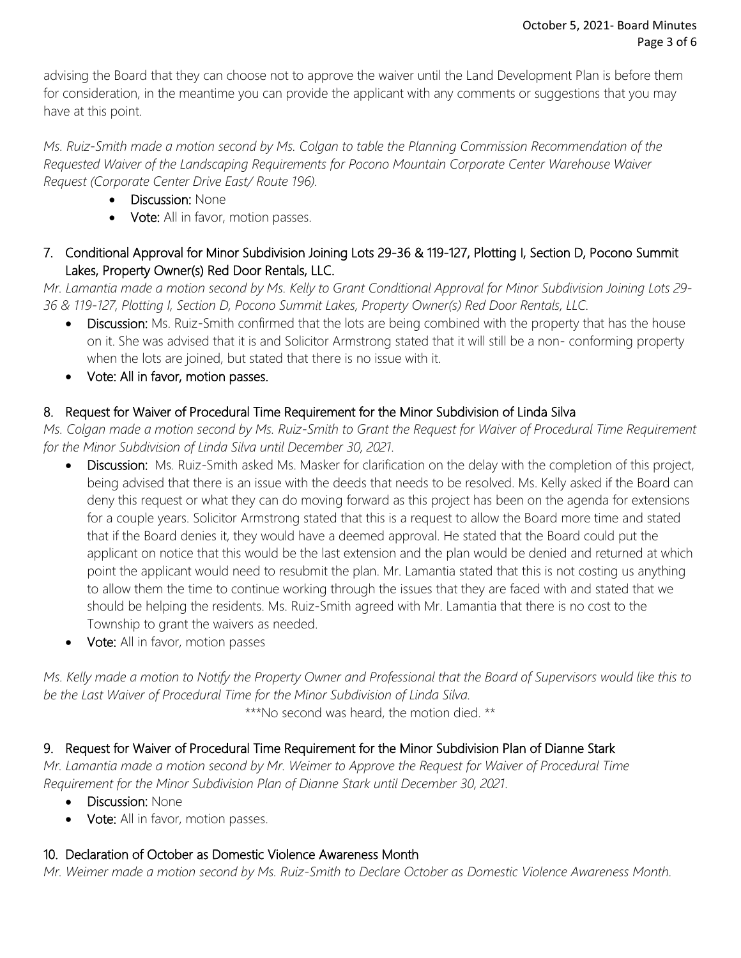advising the Board that they can choose not to approve the waiver until the Land Development Plan is before them for consideration, in the meantime you can provide the applicant with any comments or suggestions that you may have at this point.

*Ms. Ruiz-Smith made a motion second by Ms. Colgan to table the Planning Commission Recommendation of the Requested Waiver of the Landscaping Requirements for Pocono Mountain Corporate Center Warehouse Waiver Request (Corporate Center Drive East/ Route 196).*

- Discussion: None
- Vote: All in favor, motion passes.
- 7. Conditional Approval for Minor Subdivision Joining Lots 29-36 & 119-127, Plotting I, Section D, Pocono Summit Lakes, Property Owner(s) Red Door Rentals, LLC.

*Mr. Lamantia made a motion second by Ms. Kelly to Grant Conditional Approval for Minor Subdivision Joining Lots 29- 36 & 119-127, Plotting I, Section D, Pocono Summit Lakes, Property Owner(s) Red Door Rentals, LLC.*

- Discussion: Ms. Ruiz-Smith confirmed that the lots are being combined with the property that has the house on it. She was advised that it is and Solicitor Armstrong stated that it will still be a non- conforming property when the lots are joined, but stated that there is no issue with it.
- Vote: All in favor, motion passes.

# 8. Request for Waiver of Procedural Time Requirement for the Minor Subdivision of Linda Silva

*Ms. Colgan made a motion second by Ms. Ruiz-Smith to Grant the Request for Waiver of Procedural Time Requirement for the Minor Subdivision of Linda Silva until December 30, 2021.* 

- Discussion: Ms. Ruiz-Smith asked Ms. Masker for clarification on the delay with the completion of this project, being advised that there is an issue with the deeds that needs to be resolved. Ms. Kelly asked if the Board can deny this request or what they can do moving forward as this project has been on the agenda for extensions for a couple years. Solicitor Armstrong stated that this is a request to allow the Board more time and stated that if the Board denies it, they would have a deemed approval. He stated that the Board could put the applicant on notice that this would be the last extension and the plan would be denied and returned at which point the applicant would need to resubmit the plan. Mr. Lamantia stated that this is not costing us anything to allow them the time to continue working through the issues that they are faced with and stated that we should be helping the residents. Ms. Ruiz-Smith agreed with Mr. Lamantia that there is no cost to the Township to grant the waivers as needed.
- **Vote:** All in favor, motion passes

*Ms. Kelly made a motion to Notify the Property Owner and Professional that the Board of Supervisors would like this to be the Last Waiver of Procedural Time for the Minor Subdivision of Linda Silva.* 

\*\*\*No second was heard, the motion died. \*\*

# 9. Request for Waiver of Procedural Time Requirement for the Minor Subdivision Plan of Dianne Stark

*Mr. Lamantia made a motion second by Mr. Weimer to Approve the Request for Waiver of Procedural Time Requirement for the Minor Subdivision Plan of Dianne Stark until December 30, 2021.* 

- Discussion: None
- Vote: All in favor, motion passes.

# 10. Declaration of October as Domestic Violence Awareness Month

*Mr. Weimer made a motion second by Ms. Ruiz-Smith to Declare October as Domestic Violence Awareness Month.*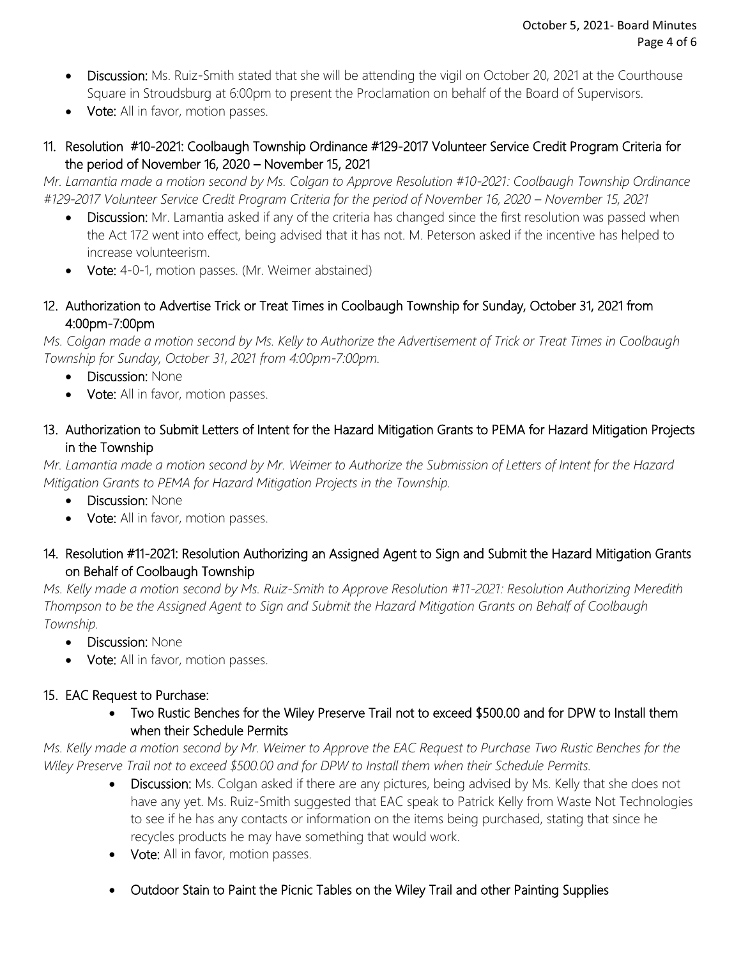- Discussion: Ms. Ruiz-Smith stated that she will be attending the vigil on October 20, 2021 at the Courthouse Square in Stroudsburg at 6:00pm to present the Proclamation on behalf of the Board of Supervisors.
- Vote: All in favor, motion passes.
- 11. Resolution #10-2021: Coolbaugh Township Ordinance #129-2017 Volunteer Service Credit Program Criteria for the period of November 16, 2020 – November 15, 2021

*Mr. Lamantia made a motion second by Ms. Colgan to Approve Resolution #10-2021: Coolbaugh Township Ordinance #129-2017 Volunteer Service Credit Program Criteria for the period of November 16, 2020 – November 15, 2021* 

- Discussion: Mr. Lamantia asked if any of the criteria has changed since the first resolution was passed when the Act 172 went into effect, being advised that it has not. M. Peterson asked if the incentive has helped to increase volunteerism.
- Vote: 4-0-1, motion passes. (Mr. Weimer abstained)
- 12. Authorization to Advertise Trick or Treat Times in Coolbaugh Township for Sunday, October 31, 2021 from 4:00pm-7:00pm

*Ms. Colgan made a motion second by Ms. Kelly to Authorize the Advertisement of Trick or Treat Times in Coolbaugh Township for Sunday, October 31, 2021 from 4:00pm-7:00pm.*

- Discussion: None
- Vote: All in favor, motion passes.
- 13. Authorization to Submit Letters of Intent for the Hazard Mitigation Grants to PEMA for Hazard Mitigation Projects in the Township

*Mr. Lamantia made a motion second by Mr. Weimer to Authorize the Submission of Letters of Intent for the Hazard Mitigation Grants to PEMA for Hazard Mitigation Projects in the Township.*

- Discussion: None
- Vote: All in favor, motion passes.

# 14. Resolution #11-2021: Resolution Authorizing an Assigned Agent to Sign and Submit the Hazard Mitigation Grants on Behalf of Coolbaugh Township

*Ms. Kelly made a motion second by Ms. Ruiz-Smith to Approve Resolution #11-2021: Resolution Authorizing Meredith Thompson to be the Assigned Agent to Sign and Submit the Hazard Mitigation Grants on Behalf of Coolbaugh Township.*

- Discussion: None
- Vote: All in favor, motion passes.

# 15. EAC Request to Purchase:

 Two Rustic Benches for the Wiley Preserve Trail not to exceed \$500.00 and for DPW to Install them when their Schedule Permits

*Ms. Kelly made a motion second by Mr. Weimer to Approve the EAC Request to Purchase Two Rustic Benches for the Wiley Preserve Trail not to exceed \$500.00 and for DPW to Install them when their Schedule Permits.*

- Discussion: Ms. Colgan asked if there are any pictures, being advised by Ms. Kelly that she does not have any yet. Ms. Ruiz-Smith suggested that EAC speak to Patrick Kelly from Waste Not Technologies to see if he has any contacts or information on the items being purchased, stating that since he recycles products he may have something that would work.
- Vote: All in favor, motion passes.
- Outdoor Stain to Paint the Picnic Tables on the Wiley Trail and other Painting Supplies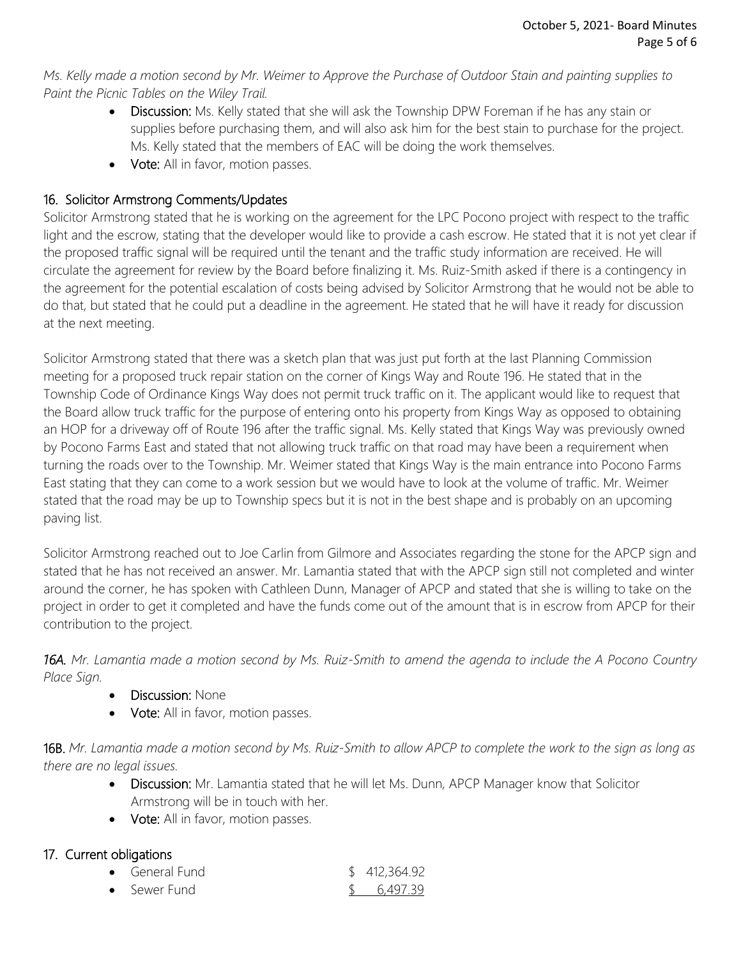*Ms. Kelly made a motion second by Mr. Weimer to Approve the Purchase of Outdoor Stain and painting supplies to Paint the Picnic Tables on the Wiley Trail.* 

- Discussion: Ms. Kelly stated that she will ask the Township DPW Foreman if he has any stain or supplies before purchasing them, and will also ask him for the best stain to purchase for the project. Ms. Kelly stated that the members of EAC will be doing the work themselves.
- Vote: All in favor, motion passes.

# 16. Solicitor Armstrong Comments/Updates

Solicitor Armstrong stated that he is working on the agreement for the LPC Pocono project with respect to the traffic light and the escrow, stating that the developer would like to provide a cash escrow. He stated that it is not yet clear if the proposed traffic signal will be required until the tenant and the traffic study information are received. He will circulate the agreement for review by the Board before finalizing it. Ms. Ruiz-Smith asked if there is a contingency in the agreement for the potential escalation of costs being advised by Solicitor Armstrong that he would not be able to do that, but stated that he could put a deadline in the agreement. He stated that he will have it ready for discussion at the next meeting.

Solicitor Armstrong stated that there was a sketch plan that was just put forth at the last Planning Commission meeting for a proposed truck repair station on the corner of Kings Way and Route 196. He stated that in the Township Code of Ordinance Kings Way does not permit truck traffic on it. The applicant would like to request that the Board allow truck traffic for the purpose of entering onto his property from Kings Way as opposed to obtaining an HOP for a driveway off of Route 196 after the traffic signal. Ms. Kelly stated that Kings Way was previously owned by Pocono Farms East and stated that not allowing truck traffic on that road may have been a requirement when turning the roads over to the Township. Mr. Weimer stated that Kings Way is the main entrance into Pocono Farms East stating that they can come to a work session but we would have to look at the volume of traffic. Mr. Weimer stated that the road may be up to Township specs but it is not in the best shape and is probably on an upcoming paving list.

Solicitor Armstrong reached out to Joe Carlin from Gilmore and Associates regarding the stone for the APCP sign and stated that he has not received an answer. Mr. Lamantia stated that with the APCP sign still not completed and winter around the corner, he has spoken with Cathleen Dunn, Manager of APCP and stated that she is willing to take on the project in order to get it completed and have the funds come out of the amount that is in escrow from APCP for their contribution to the project.

*16A. Mr. Lamantia made a motion second by Ms. Ruiz-Smith to amend the agenda to include the A Pocono Country Place Sign.* 

- Discussion: None
- **Vote:** All in favor, motion passes.

16B. *Mr. Lamantia made a motion second by Ms. Ruiz-Smith to allow APCP to complete the work to the sign as long as there are no legal issues.* 

- Discussion: Mr. Lamantia stated that he will let Ms. Dunn, APCP Manager know that Solicitor Armstrong will be in touch with her.
- Vote: All in favor, motion passes.

#### 17. Current obligations

| • General Fund | \$412,364.92 |
|----------------|--------------|
| • Sewer Fund   | \$6,497.39   |